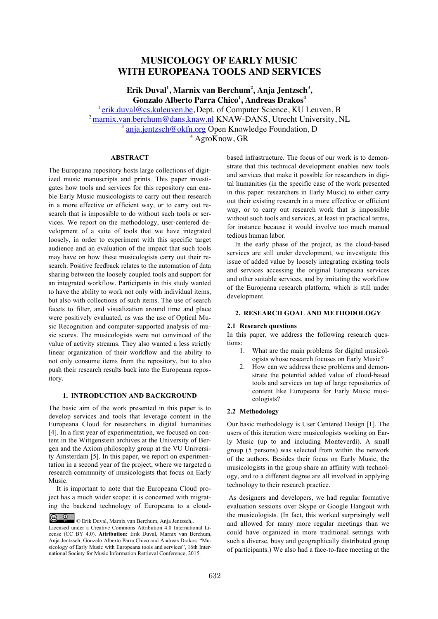# **MUSICOLOGY OF EARLY MUSIC WITH EUROPEANA TOOLS AND SERVICES**

**Erik Duval1 , Marnix van Berchum2 , Anja Jentzsch<sup>3</sup> , Gonzalo Alberto Parra Chico<sup>1</sup> , Andreas Drakos<sup>4</sup>**

 $1$ erik.duval@cs.kuleuven.be, Dept. of Computer Science, KU Leuven, B

2marnix.van.berchum@dans.knaw.nl KNAW-DANS, Utrecht University, NL

anja.jentzsch@okfn.org Open Knowledge Foundation, D

<sup>4</sup> AgroKnow, GR

# **ABSTRACT**

The Europeana repository hosts large collections of digitized music manuscripts and prints. This paper investigates how tools and services for this repository can enable Early Music musicologists to carry out their research in a more effective or efficient way, or to carry out research that is impossible to do without such tools or services. We report on the methodology, user-centered development of a suite of tools that we have integrated loosely, in order to experiment with this specific target audience and an evaluation of the impact that such tools may have on how these musicologists carry out their research. Positive feedback relates to the automation of data sharing between the loosely coupled tools and support for an integrated workflow. Participants in this study wanted to have the ability to work not only with individual items, but also with collections of such items. The use of search facets to filter, and visualization around time and place were positively evaluated, as was the use of Optical Music Recognition and computer-supported analysis of music scores. The musicologists were not convinced of the value of activity streams. They also wanted a less strictly linear organization of their workflow and the ability to not only consume items from the repository, but to also push their research results back into the Europeana repository.

### **1. INTRODUCTION AND BACKGROUND**

The basic aim of the work presented in this paper is to develop services and tools that leverage content in the Europeana Cloud for researchers in digital humanities [4]. In a first year of experimentation, we focused on content in the Wittgenstein archives at the University of Bergen and the Axiom philosophy group at the VU University Amsterdam [5]. In this paper, we report on experimentation in a second year of the project, where we targeted a research community of musicologists that focus on Early Music.

It is important to note that the Europeana Cloud project has a much wider scope: it is concerned with migrating the backend technology of Europeana to a cloudbased infrastructure. The focus of our work is to demonstrate that this technical development enables new tools and services that make it possible for researchers in digital humanities (in the specific case of the work presented in this paper: researchers in Early Music) to either carry out their existing research in a more effective or efficient way, or to carry out research work that is impossible without such tools and services, at least in practical terms, for instance because it would involve too much manual tedious human labor.

In the early phase of the project, as the cloud-based services are still under development, we investigate this issue of added value by loosely integrating existing tools and services accessing the original Europeana services and other suitable services, and by imitating the workflow of the Europeana research platform, which is still under development.

#### **2. RESEARCH GOAL AND METHODOLOGY**

#### **2.1 Research questions**

In this paper, we address the following research questions:

- 1. What are the main problems for digital musicologists whose research focuses on Early Music?
- 2. How can we address these problems and demonstrate the potential added value of cloud-based tools and services on top of large repositories of content like Europeana for Early Music musicologists?

#### **2.2 Methodology**

Our basic methodology is User Centered Design [1]. The users of this iteration were musicologists working on Early Music (up to and including Monteverdi). A small group (5 persons) was selected from within the network of the authors. Besides their focus on Early Music, the musicologists in the group share an affinity with technology, and to a different degree are all involved in applying technology to their research practice.

As designers and developers, we had regular formative evaluation sessions over Skype or Google Hangout with the musicologists. (In fact, this worked surprisingly well and allowed for many more regular meetings than we could have organized in more traditional settings with such a diverse, busy and geographically distributed group of participants.) We also had a face-to-face meeting at the

<sup>©</sup> Erik Duval, Marnix van Berchum, Anja Jentzsch,. Licensed under a Creative Commons Attribution 4.0 International License (CC BY 4.0). **Attribution:** Erik Duval, Marnix van Berchum, Anja Jentzsch, Gonzalo Alberto Parra Chico and Andreas Drakos. "Musicology of Early Music with Europeana tools and services", 16th International Society for Music Information Retrieval Conference, 2015.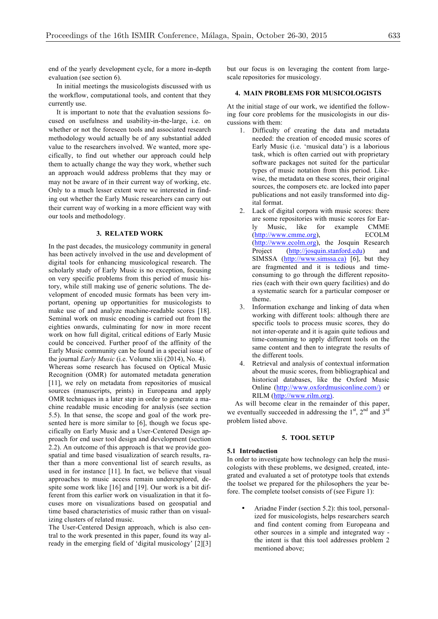end of the yearly development cycle, for a more in-depth evaluation (see section 6).

In initial meetings the musicologists discussed with us the workflow, computational tools, and content that they currently use.

It is important to note that the evaluation sessions focused on usefulness and usability-in-the-large, i.e. on whether or not the foreseen tools and associated research methodology would actually be of any substantial added value to the researchers involved. We wanted, more specifically, to find out whether our approach could help them to actually change the way they work, whether such an approach would address problems that they may or may not be aware of in their current way of working, etc. Only to a much lesser extent were we interested in finding out whether the Early Music researchers can carry out their current way of working in a more efficient way with our tools and methodology.

#### **3. RELATED WORK**

In the past decades, the musicology community in general has been actively involved in the use and development of digital tools for enhancing musicological research. The scholarly study of Early Music is no exception, focusing on very specific problems from this period of music history, while still making use of generic solutions. The development of encoded music formats has been very important, opening up opportunities for musicologists to make use of and analyze machine-readable scores [18]. Seminal work on music encoding is carried out from the eighties onwards, culminating for now in more recent work on how full digital, critical editions of Early Music could be conceived. Further proof of the affinity of the Early Music community can be found in a special issue of the journal *Early Music* (i.e. Volume xlii (2014), No. 4). Whereas some research has focused on Optical Music Recognition (OMR) for automated metadata generation [11], we rely on metadata from repositories of musical sources (manuscripts, prints) in Europeana and apply OMR techniques in a later step in order to generate a machine readable music encoding for analysis (see section 5.5). In that sense, the scope and goal of the work presented here is more similar to [6], though we focus specifically on Early Music and a User-Centered Design approach for end user tool design and development (section 2.2). An outcome of this approach is that we provide geospatial and time based visualization of search results, rather than a more conventional list of search results, as used in for instance [11]. In fact, we believe that visual approaches to music access remain underexplored, despite some work like [16] and [19]. Our work is a bit different from this earlier work on visualization in that it focuses more on visualizations based on geospatial and time based characteristics of music rather than on visualizing clusters of related music.

The User-Centered Design approach, which is also central to the work presented in this paper, found its way already in the emerging field of 'digital musicology' [2][3] but our focus is on leveraging the content from largescale repositories for musicology.

### **4. MAIN PROBLEMS FOR MUSICOLOGISTS**

At the initial stage of our work, we identified the following four core problems for the musicologists in our discussions with them:

- 1. Difficulty of creating the data and metadata needed: the creation of encoded music scores of Early Music (i.e. 'musical data') is a laborious task, which is often carried out with proprietary software packages not suited for the particular types of music notation from this period. Likewise, the metadata on these scores, their original sources, the composers etc. are locked into paper publications and not easily transformed into digital format.
- 2. Lack of digital corpora with music scores: there are some repositories with music scores for Early Music, like for example CMME (http://www.cmme.org), ECOLM (http://www.ecolm.org), the Josquin Research Project (http://josquin.stanford.edu) and SIMSSA (http://www.simssa.ca) [6], but they are fragmented and it is tedious and timeconsuming to go through the different repositories (each with their own query facilities) and do a systematic search for a particular composer or theme.
- 3. Information exchange and linking of data when working with different tools: although there are specific tools to process music scores, they do not inter-operate and it is again quite tedious and time-consuming to apply different tools on the same content and then to integrate the results of the different tools.
- 4. Retrieval and analysis of contextual information about the music scores, from bibliographical and historical databases, like the Oxford Music Online (http://www.oxfordmusiconline.com/) or RILM (http://www.rilm.org).

As will become clear in the remainder of this paper, we eventually succeeded in addressing the  $1<sup>st</sup>$ ,  $2<sup>nd</sup>$  and  $3<sup>rd</sup>$ problem listed above.

### **5. TOOL SETUP**

#### **5.1 Introduction**

In order to investigate how technology can help the musicologists with these problems, we designed, created, integrated and evaluated a set of prototype tools that extends the toolset we prepared for the philosophers the year before. The complete toolset consists of (see Figure 1):

• Ariadne Finder (section 5.2): this tool, personalized for musicologists, helps researchers search and find content coming from Europeana and other sources in a simple and integrated way the intent is that this tool addresses problem 2 mentioned above;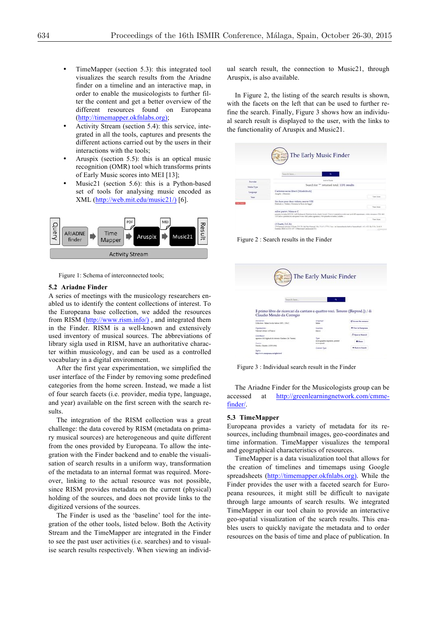- TimeMapper (section 5.3): this integrated tool visualizes the search results from the Ariadne finder on a timeline and an interactive map, in order to enable the musicologists to further filter the content and get a better overview of the different resources found on Europeana (http://timemapper.okfnlabs.org);
- Activity Stream (section 5.4): this service, integrated in all the tools, captures and presents the different actions carried out by the users in their interactions with the tools;
- Aruspix (section 5.5): this is an optical music recognition (OMR) tool which transforms prints of Early Music scores into MEI [13];
- Music21 (section 5.6): this is a Python-based set of tools for analysing music encoded as XML (http://web.mit.edu/music21/) [6].



Figure 1: Schema of interconnected tools;

### **5.2 Ariadne Finder**

A series of meetings with the musicology researchers enabled us to identify the content collections of interest. To the Europeana base collection, we added the resources from RISM (http://www.rism.info/) , and integrated them in the Finder. RISM is a well-known and extensively used inventory of musical sources. The abbreviations of library sigla used in RISM, have an authoritative character within musicology, and can be used as a controlled vocabulary in a digital environment.

After the first year experimentation, we simplified the user interface of the Finder by removing some predefined categories from the home screen. Instead, we made a list of four search facets (i.e. provider, media type, language, and year) available on the first screen with the search results.

The integration of the RISM collection was a great challenge: the data covered by RISM (metadata on primary musical sources) are heterogeneous and quite different from the ones provided by Europeana. To allow the integration with the Finder backend and to enable the visualisation of search results in a uniform way, transformation of the metadata to an internal format was required. Moreover, linking to the actual resource was not possible, since RISM provides metadata on the current (physical) holding of the sources, and does not provide links to the digitized versions of the sources.

The Finder is used as the 'baseline' tool for the integration of the other tools, listed below. Both the Activity Stream and the TimeMapper are integrated in the Finder to see the past user activities (i.e. searches) and to visualise search results respectively. When viewing an individual search result, the connection to Music21, through Aruspix, is also available.

In Figure 2, the listing of the search results is shown, with the facets on the left that can be used to further refine the search. Finally, Figure 3 shows how an individual search result is displayed to the user, with the links to the functionality of Aruspix and Music21.

|                          | The Early Music Finder                                                                                                                                                                                                                                                                 |                   |
|--------------------------|----------------------------------------------------------------------------------------------------------------------------------------------------------------------------------------------------------------------------------------------------------------------------------------|-------------------|
|                          |                                                                                                                                                                                                                                                                                        |                   |
|                          |                                                                                                                                                                                                                                                                                        |                   |
|                          | Search have<br>$\alpha$                                                                                                                                                                                                                                                                |                   |
| Provider                 | Active Dates                                                                                                                                                                                                                                                                           |                   |
| Media Type               | Search for "" returned total: 1191 results                                                                                                                                                                                                                                             |                   |
| Language                 | Carriones sacrae liber 6 [Musikdrack]<br>Augsbe (Newes)                                                                                                                                                                                                                                |                   |
| <b>Year</b>              |                                                                                                                                                                                                                                                                                        | <b>Yies Mass</b>  |
| <b>Course</b> The Marine | Six duos pour deux violons, oeuvre VIII<br>Dedicado a: Deduis a Montesu la Baron de Bagga"                                                                                                                                                                                             |                   |
|                          |                                                                                                                                                                                                                                                                                        | <b>Ties Line</b>  |
|                          | súbor partov; Missa ex C<br>printed of this books bill to 1-429 Kalmanik Hadabad Bula a lamb! known Slower material to a voluview pod 420 signaturant, a total redesport 526, then<br>115 Hafe a postularitat na system from etaly selms signatura i ristrapionelicità inche Coloilite |                   |
|                          |                                                                                                                                                                                                                                                                                        | <b>Tiew Lines</b> |
|                          | (3 Duetti, D.C.Eu)<br>279 Kansasi Antonio (5 Dunti, D.C.Ec) del figo Kansasi. Mc. (Vol.) (1779; 2 Sec. (in Sannashandashaft at Sannashand) v(L vi E Op. 5 No. 2.8 ft 5                                                                                                                 |                   |

Figure 2 : Search results in the Finder

| Search Issue                                                                   |                                       | a |                            |
|--------------------------------------------------------------------------------|---------------------------------------|---|----------------------------|
|                                                                                |                                       |   |                            |
|                                                                                |                                       |   |                            |
|                                                                                |                                       |   |                            |
| Il primo libro de ricercari da cantare a quattro voci. Tenore ([Reprod.]) / di |                                       |   |                            |
| Claudio Merulo da Corregio                                                     |                                       |   |                            |
| Depresses<br>Collection: Italian books batos 1671; 134.2                       | Deneman<br><b>Indian</b>              |   | C Arrest the seconds       |
| Owentarios:                                                                    | Enostine                              |   | <b>O</b> View in Europeans |
| National Library of France                                                     | <b>Banca</b>                          |   |                            |
|                                                                                |                                       |   | J. Ones is Marie 21        |
| Contributor                                                                    |                                       |   |                            |
| appearer di li figliscii di Antonio Gerdeni (in Veneta)                        | Zype<br>monographie imprimes, protect |   |                            |
| <b>Creston</b><br>Marsin, Claudie (2005-2404)                                  | monograph.                            |   | A Home                     |

Figure 3 : Individual search result in the Finder

The Ariadne Finder for the Musicologists group can be accessed at http://greenlearningnetwork.com/cmmefinder/.

#### **5.3 TimeMapper**

Europeana provides a variety of metadata for its resources, including thumbnail images, geo-coordinates and time information. TimeMapper visualizes the temporal and geographical characteristics of resources.

TimeMapper is a data visualization tool that allows for the creation of timelines and timemaps using Google spreadsheets (http://timemapper.okfnlabs.org). While the Finder provides the user with a faceted search for Europeana resources, it might still be difficult to navigate through large amounts of search results. We integrated TimeMapper in our tool chain to provide an interactive geo-spatial visualization of the search results. This enables users to quickly navigate the metadata and to order resources on the basis of time and place of publication. In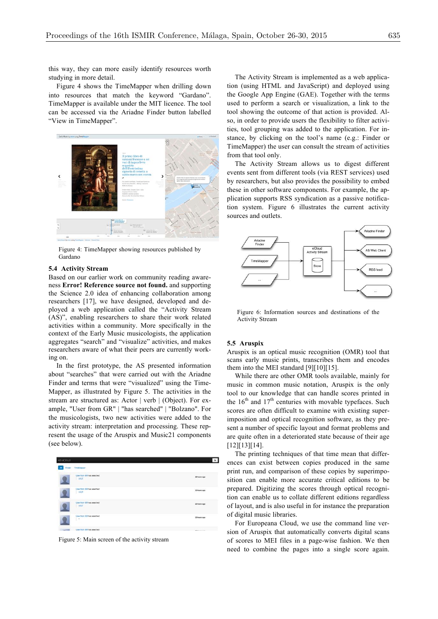this way, they can more easily identify resources worth studying in more detail.

Figure 4 shows the TimeMapper when drilling down into resources that match the keyword "Gardano". TimeMapper is available under the MIT licence. The tool can be accessed via the Ariadne Finder button labelled "View in TimeMapper".



Figure 4: TimeMapper showing resources published by Gardano

### **5.4 Activity Stream**

Based on our earlier work on community reading awareness **Error! Reference source not found.** and supporting the Science 2.0 idea of enhancing collaboration among researchers [17], we have designed, developed and deployed a web application called the "Activity Stream (AS)", enabling researchers to share their work related activities within a community. More specifically in the context of the Early Music musicologists, the application aggregates "search" and "visualize" activities, and makes researchers aware of what their peers are currently working on.

In the first prototype, the AS presented information about "searches" that were carried out with the Ariadne Finder and terms that were "visualized" using the Time-Mapper, as illustrated by Figure 5. The activities in the stream are structured as: Actor | verb | (Object). For example, "User from GR" | "has searched" | "Bolzano". For the musicologists, two new activities were added to the activity stream: interpretation and processing. These represent the usage of the Aruspix and Music21 components (see below).



Figure 5: Main screen of the activity stream

The Activity Stream is implemented as a web application (using HTML and JavaScript) and deployed using the Google App Engine (GAE). Together with the terms used to perform a search or visualization, a link to the tool showing the outcome of that action is provided. Also, in order to provide users the flexibility to filter activities, tool grouping was added to the application. For instance, by clicking on the tool's name (e.g.: Finder or TimeMapper) the user can consult the stream of activities from that tool only.

The Activity Stream allows us to digest different events sent from different tools (via REST services) used by researchers, but also provides the possibility to embed these in other software components. For example, the application supports RSS syndication as a passive notification system. Figure 6 illustrates the current activity sources and outlets.



Figure 6: Information sources and destinations of the Activity Stream

#### **5.5 Aruspix**

Aruspix is an optical music recognition (OMR) tool that scans early music prints, transcribes them and encodes them into the MEI standard [9][10][15].

While there are other OMR tools available, mainly for music in common music notation, Aruspix is the only tool to our knowledge that can handle scores printed in the  $16<sup>th</sup>$  and  $17<sup>th</sup>$  centuries with movable typefaces. Such scores are often difficult to examine with existing superimposition and optical recognition software, as they present a number of specific layout and format problems and are quite often in a deteriorated state because of their age [12][13][14].

The printing techniques of that time mean that differences can exist between copies produced in the same print run, and comparison of these copies by superimposition can enable more accurate critical editions to be prepared. Digitizing the scores through optical recognition can enable us to collate different editions regardless of layout, and is also useful in for instance the preparation of digital music libraries.

For Europeana Cloud, we use the command line version of Aruspix that automatically converts digital scans of scores to MEI files in a page-wise fashion. We then need to combine the pages into a single score again.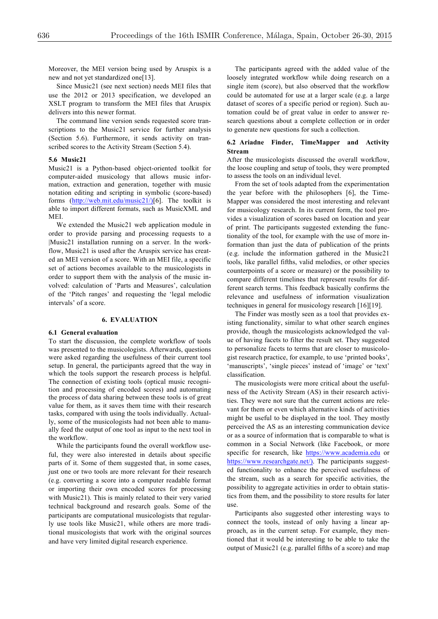Moreover, the MEI version being used by Aruspix is a new and not yet standardized one[13].

Since Music21 (see next section) needs MEI files that use the 2012 or 2013 specification, we developed an XSLT program to transform the MEI files that Aruspix delivers into this newer format.

The command line version sends requested score transcriptions to the Music21 service for further analysis (Section 5.6). Furthermore, it sends activity on transcribed scores to the Activity Stream (Section 5.4).

#### **5.6 Music21**

Music21 is a Python-based object-oriented toolkit for computer-aided musicology that allows music information, extraction and generation, together with music notation editing and scripting in symbolic (score-based) forms (http://web.mit.edu/music21/)[6]. The toolkit is able to import different formats, such as MusicXML and **MEI** 

We extended the Music21 web application module in order to provide parsing and processing requests to a |Music21 installation running on a server. In the workflow, Music21 is used after the Aruspix service has created an MEI version of a score. With an MEI file, a specific set of actions becomes available to the musicologists in order to support them with the analysis of the music involved: calculation of 'Parts and Measures', calculation of the 'Pitch ranges' and requesting the 'legal melodic intervals' of a score.

### **6. EVALUATION**

### **6.1 General evaluation**

To start the discussion, the complete workflow of tools was presented to the musicologists. Afterwards, questions were asked regarding the usefulness of their current tool setup. In general, the participants agreed that the way in which the tools support the research process is helpful. The connection of existing tools (optical music recognition and processing of encoded scores) and automating the process of data sharing between these tools is of great value for them, as it saves them time with their research tasks, compared with using the tools individually. Actually, some of the musicologists had not been able to manually feed the output of one tool as input to the next tool in the workflow.

While the participants found the overall workflow useful, they were also interested in details about specific parts of it. Some of them suggested that, in some cases, just one or two tools are more relevant for their research (e.g. converting a score into a computer readable format or importing their own encoded scores for processing with Music21). This is mainly related to their very varied technical background and research goals. Some of the participants are computational musicologists that regularly use tools like Music21, while others are more traditional musicologists that work with the original sources and have very limited digital research experience.

The participants agreed with the added value of the loosely integrated workflow while doing research on a single item (score), but also observed that the workflow could be automated for use at a larger scale (e.g. a large dataset of scores of a specific period or region). Such automation could be of great value in order to answer research questions about a complete collection or in order to generate new questions for such a collection.

#### **6.2 Ariadne Finder, TimeMapper and Activity Stream**

After the musicologists discussed the overall workflow, the loose coupling and setup of tools, they were prompted to assess the tools on an individual level.

From the set of tools adapted from the experimentation the year before with the philosophers [6], the Time-Mapper was considered the most interesting and relevant for musicology research. In its current form, the tool provides a visualization of scores based on location and year of print. The participants suggested extending the functionality of the tool, for example with the use of more information than just the data of publication of the prints (e.g. include the information gathered in the Music21 tools, like parallel fifths, valid melodies, or other species counterpoints of a score or measure) or the possibility to compare different timelines that represent results for different search terms. This feedback basically confirms the relevance and usefulness of information visualization techniques in general for musicology research [16][19].

The Finder was mostly seen as a tool that provides existing functionality, similar to what other search engines provide, though the musicologists acknowledged the value of having facets to filter the result set. They suggested to personalize facets to terms that are closer to musicologist research practice, for example, to use 'printed books', 'manuscripts', 'single pieces' instead of 'image' or 'text' classification.

The musicologists were more critical about the usefulness of the Activity Stream (AS) in their research activities. They were not sure that the current actions are relevant for them or even which alternative kinds of activities might be useful to be displayed in the tool. They mostly perceived the AS as an interesting communication device or as a source of information that is comparable to what is common in a Social Network (like Facebook, or more specific for research, like https://www.academia.edu or https://www.researchgate.net/). The participants suggested functionality to enhance the perceived usefulness of the stream, such as a search for specific activities, the possibility to aggregate activities in order to obtain statistics from them, and the possibility to store results for later use.

Participants also suggested other interesting ways to connect the tools, instead of only having a linear approach, as in the current setup. For example, they mentioned that it would be interesting to be able to take the output of Music21 (e.g. parallel fifths of a score) and map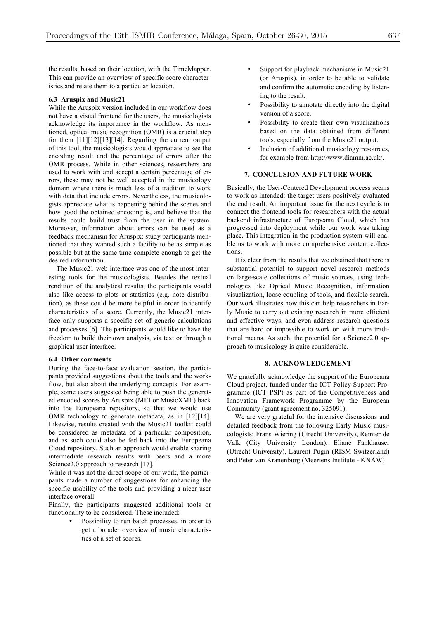the results, based on their location, with the TimeMapper. This can provide an overview of specific score characteristics and relate them to a particular location.

### **6.3 Aruspix and Music21**

While the Aruspix version included in our workflow does not have a visual frontend for the users, the musicologists acknowledge its importance in the workflow. As mentioned, optical music recognition (OMR) is a crucial step for them [11][12][13][14]. Regarding the current output of this tool, the musicologists would appreciate to see the encoding result and the percentage of errors after the OMR process. While in other sciences, researchers are used to work with and accept a certain percentage of errors, these may not be well accepted in the musicology domain where there is much less of a tradition to work with data that include errors. Nevertheless, the musicologists appreciate what is happening behind the scenes and how good the obtained encoding is, and believe that the results could build trust from the user in the system. Moreover, information about errors can be used as a feedback mechanism for Aruspix: study participants mentioned that they wanted such a facility to be as simple as possible but at the same time complete enough to get the desired information.

The Music21 web interface was one of the most interesting tools for the musicologists. Besides the textual rendition of the analytical results, the participants would also like access to plots or statistics (e.g. note distribution), as these could be more helpful in order to identify characteristics of a score. Currently, the Music21 interface only supports a specific set of generic calculations and processes [6]. The participants would like to have the freedom to build their own analysis, via text or through a graphical user interface.

## **6.4 Other comments**

During the face-to-face evaluation session, the participants provided suggestions about the tools and the workflow, but also about the underlying concepts. For example, some users suggested being able to push the generated encoded scores by Aruspix (MEI or MusicXML) back into the Europeana repository, so that we would use OMR technology to generate metadata, as in [12][14]. Likewise, results created with the Music21 toolkit could be considered as metadata of a particular composition, and as such could also be fed back into the Europeana Cloud repository. Such an approach would enable sharing intermediate research results with peers and a more Science 2.0 approach to research [17].

While it was not the direct scope of our work, the participants made a number of suggestions for enhancing the specific usability of the tools and providing a nicer user interface overall.

Finally, the participants suggested additional tools or functionality to be considered. These included:

> Possibility to run batch processes, in order to get a broader overview of music characteristics of a set of scores.

- Support for playback mechanisms in Music21 (or Aruspix), in order to be able to validate and confirm the automatic encoding by listening to the result.
- Possibility to annotate directly into the digital version of a score.
- Possibility to create their own visualizations based on the data obtained from different tools, especially from the Music21 output.
- Inclusion of additional musicology resources, for example from http://www.diamm.ac.uk/.

#### **7. CONCLUSION AND FUTURE WORK**

Basically, the User-Centered Development process seems to work as intended: the target users positively evaluated the end result. An important issue for the next cycle is to connect the frontend tools for researchers with the actual backend infrastructure of Europeana Cloud, which has progressed into deployment while our work was taking place. This integration in the production system will enable us to work with more comprehensive content collections.

It is clear from the results that we obtained that there is substantial potential to support novel research methods on large-scale collections of music sources, using technologies like Optical Music Recognition, information visualization, loose coupling of tools, and flexible search. Our work illustrates how this can help researchers in Early Music to carry out existing research in more efficient and effective ways, and even address research questions that are hard or impossible to work on with more traditional means. As such, the potential for a Science2.0 approach to musicology is quite considerable.

#### **8. ACKNOWLEDGEMENT**

We gratefully acknowledge the support of the Europeana Cloud project, funded under the ICT Policy Support Programme (ICT PSP) as part of the Competitiveness and Innovation Framework Programme by the European Community (grant agreement no. 325091).

We are very grateful for the intensive discussions and detailed feedback from the following Early Music musicologists: Frans Wiering (Utrecht University), Reinier de Valk (City University London), Eliane Fankhauser (Utrecht University), Laurent Pugin (RISM Switzerland) and Peter van Kranenburg (Meertens Institute - KNAW)